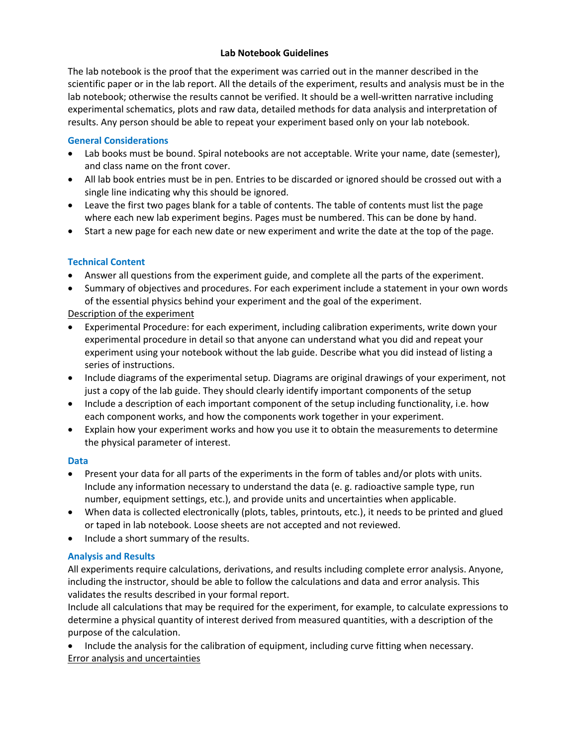## **Lab Notebook Guidelines**

The lab notebook is the proof that the experiment was carried out in the manner described in the scientific paper or in the lab report. All the details of the experiment, results and analysis must be in the lab notebook; otherwise the results cannot be verified. It should be a well-written narrative including experimental schematics, plots and raw data, detailed methods for data analysis and interpretation of results. Any person should be able to repeat your experiment based only on your lab notebook.

### **General Considerations**

- Lab books must be bound. Spiral notebooks are not acceptable. Write your name, date (semester), and class name on the front cover.
- All lab book entries must be in pen. Entries to be discarded or ignored should be crossed out with a single line indicating why this should be ignored.
- Leave the first two pages blank for a table of contents. The table of contents must list the page where each new lab experiment begins. Pages must be numbered. This can be done by hand.
- Start a new page for each new date or new experiment and write the date at the top of the page.

### **Technical Content**

- Answer all questions from the experiment guide, and complete all the parts of the experiment.
- Summary of objectives and procedures. For each experiment include a statement in your own words of the essential physics behind your experiment and the goal of the experiment.

Description of the experiment

- Experimental Procedure: for each experiment, including calibration experiments, write down your experimental procedure in detail so that anyone can understand what you did and repeat your experiment using your notebook without the lab guide. Describe what you did instead of listing a series of instructions.
- Include diagrams of the experimental setup. Diagrams are original drawings of your experiment, not just a copy of the lab guide. They should clearly identify important components of the setup
- Include a description of each important component of the setup including functionality, i.e. how each component works, and how the components work together in your experiment.
- Explain how your experiment works and how you use it to obtain the measurements to determine the physical parameter of interest.

### **Data**

- Present your data for all parts of the experiments in the form of tables and/or plots with units. Include any information necessary to understand the data (e. g. radioactive sample type, run number, equipment settings, etc.), and provide units and uncertainties when applicable.
- When data is collected electronically (plots, tables, printouts, etc.), it needs to be printed and glued or taped in lab notebook. Loose sheets are not accepted and not reviewed.
- Include a short summary of the results.

# **Analysis and Results**

All experiments require calculations, derivations, and results including complete error analysis. Anyone, including the instructor, should be able to follow the calculations and data and error analysis. This validates the results described in your formal report.

Include all calculations that may be required for the experiment, for example, to calculate expressions to determine a physical quantity of interest derived from measured quantities, with a description of the purpose of the calculation.

• Include the analysis for the calibration of equipment, including curve fitting when necessary. Error analysis and uncertainties